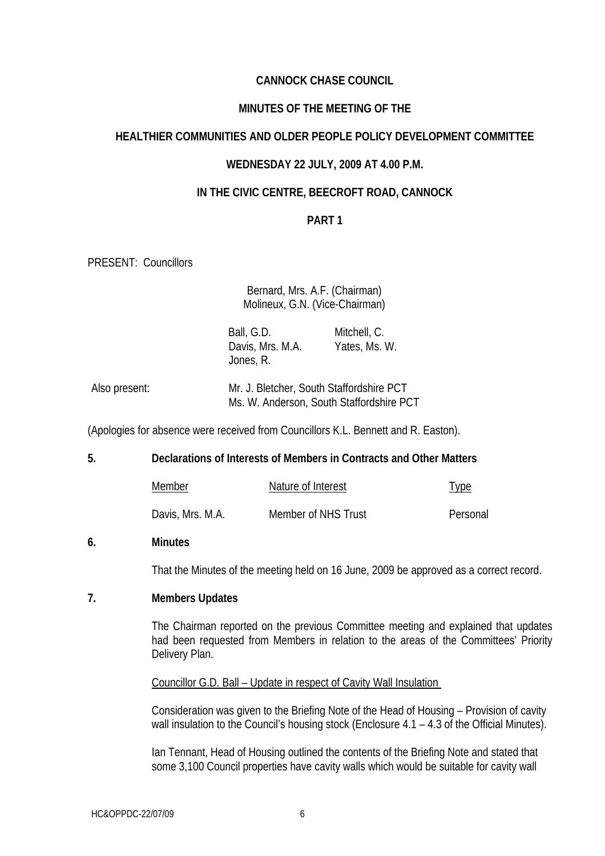# **CANNOCK CHASE COUNCIL**

### **MINUTES OF THE MEETING OF THE**

# **HEALTHIER COMMUNITIES AND OLDER PEOPLE POLICY DEVELOPMENT COMMITTEE**

### **WEDNESDAY 22 JULY, 2009 AT 4.00 P.M.**

## **IN THE CIVIC CENTRE, BEECROFT ROAD, CANNOCK**

## **PART 1**

PRESENT: Councillors

Bernard, Mrs. A.F. (Chairman) Molineux, G.N. (Vice-Chairman)

 Ball, G.D. Davis, Mrs. M.A. Yates, Ms. W. Jones, R. Mitchell, C.

| Also present: | Mr. J. Bletcher, South Staffordshire PCT |  |
|---------------|------------------------------------------|--|
|               | Ms. W. Anderson, South Staffordshire PCT |  |

(Apologies for absence were received from Councillors K.L. Bennett and R. Easton).

**5. Declarations of Interests of Members in Contracts and Other Matters** 

| Member           | Nature of Interest  | <u>Type</u> |
|------------------|---------------------|-------------|
| Davis, Mrs. M.A. | Member of NHS Trust | Personal    |

### **6. Minutes**

That the Minutes of the meeting held on 16 June, 2009 be approved as a correct record.

### **7. Members Updates**

The Chairman reported on the previous Committee meeting and explained that updates had been requested from Members in relation to the areas of the Committees' Priority Delivery Plan.

Councillor G.D. Ball – Update in respect of Cavity Wall Insulation

Consideration was given to the Briefing Note of the Head of Housing – Provision of cavity wall insulation to the Council's housing stock (Enclosure 4.1 – 4.3 of the Official Minutes).

Ian Tennant, Head of Housing outlined the contents of the Briefing Note and stated that some 3,100 Council properties have cavity walls which would be suitable for cavity wall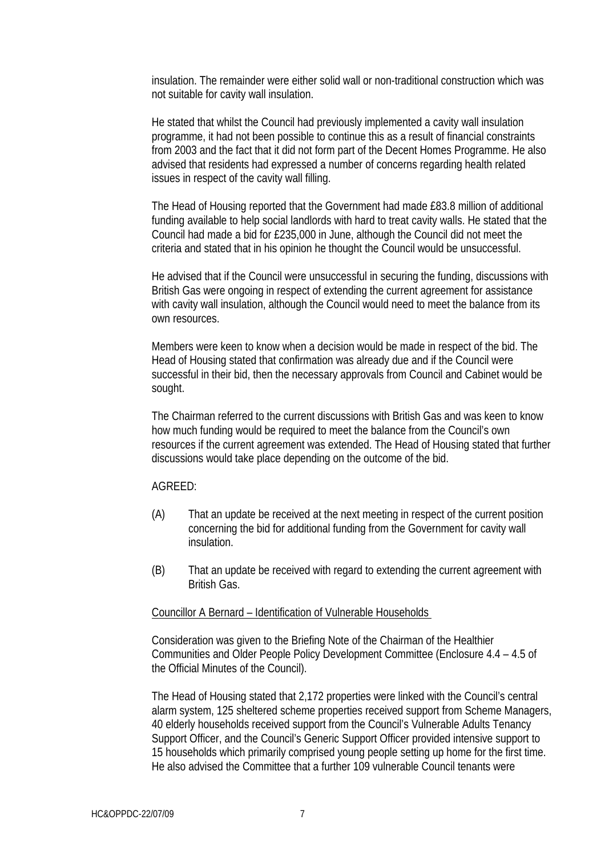insulation. The remainder were either solid wall or non-traditional construction which was not suitable for cavity wall insulation.

He stated that whilst the Council had previously implemented a cavity wall insulation programme, it had not been possible to continue this as a result of financial constraints from 2003 and the fact that it did not form part of the Decent Homes Programme. He also advised that residents had expressed a number of concerns regarding health related issues in respect of the cavity wall filling.

The Head of Housing reported that the Government had made £83.8 million of additional funding available to help social landlords with hard to treat cavity walls. He stated that the Council had made a bid for £235,000 in June, although the Council did not meet the criteria and stated that in his opinion he thought the Council would be unsuccessful.

He advised that if the Council were unsuccessful in securing the funding, discussions with British Gas were ongoing in respect of extending the current agreement for assistance with cavity wall insulation, although the Council would need to meet the balance from its own resources.

Members were keen to know when a decision would be made in respect of the bid. The Head of Housing stated that confirmation was already due and if the Council were successful in their bid, then the necessary approvals from Council and Cabinet would be sought.

The Chairman referred to the current discussions with British Gas and was keen to know how much funding would be required to meet the balance from the Council's own resources if the current agreement was extended. The Head of Housing stated that further discussions would take place depending on the outcome of the bid.

### AGREED:

- (A) That an update be received at the next meeting in respect of the current position concerning the bid for additional funding from the Government for cavity wall insulation.
- (B) That an update be received with regard to extending the current agreement with British Gas.

#### Councillor A Bernard – Identification of Vulnerable Households

Consideration was given to the Briefing Note of the Chairman of the Healthier Communities and Older People Policy Development Committee (Enclosure 4.4 – 4.5 of the Official Minutes of the Council).

The Head of Housing stated that 2,172 properties were linked with the Council's central alarm system, 125 sheltered scheme properties received support from Scheme Managers, 40 elderly households received support from the Council's Vulnerable Adults Tenancy Support Officer, and the Council's Generic Support Officer provided intensive support to 15 households which primarily comprised young people setting up home for the first time. He also advised the Committee that a further 109 vulnerable Council tenants were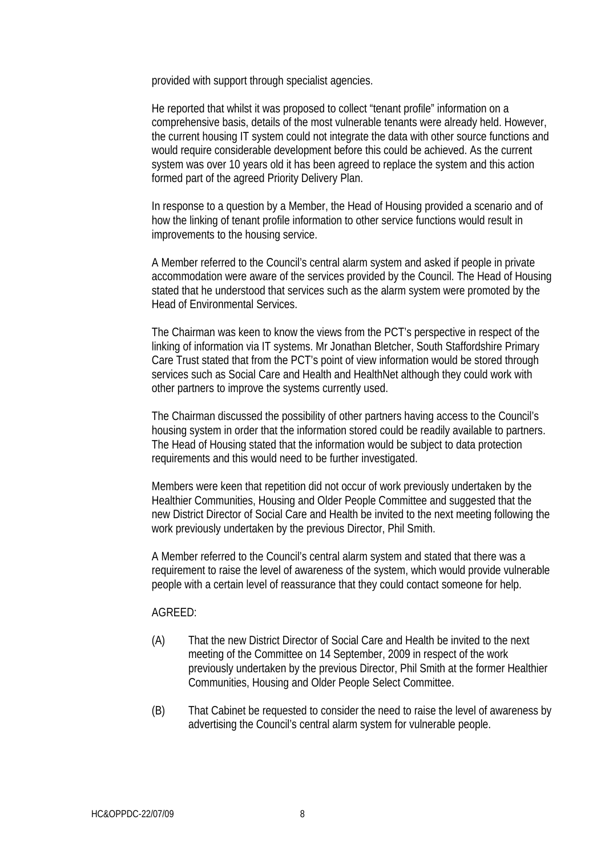provided with support through specialist agencies.

He reported that whilst it was proposed to collect "tenant profile" information on a comprehensive basis, details of the most vulnerable tenants were already held. However, the current housing IT system could not integrate the data with other source functions and would require considerable development before this could be achieved. As the current system was over 10 years old it has been agreed to replace the system and this action formed part of the agreed Priority Delivery Plan.

In response to a question by a Member, the Head of Housing provided a scenario and of how the linking of tenant profile information to other service functions would result in improvements to the housing service.

A Member referred to the Council's central alarm system and asked if people in private accommodation were aware of the services provided by the Council. The Head of Housing stated that he understood that services such as the alarm system were promoted by the Head of Environmental Services.

The Chairman was keen to know the views from the PCT's perspective in respect of the linking of information via IT systems. Mr Jonathan Bletcher, South Staffordshire Primary Care Trust stated that from the PCT's point of view information would be stored through services such as Social Care and Health and HealthNet although they could work with other partners to improve the systems currently used.

The Chairman discussed the possibility of other partners having access to the Council's housing system in order that the information stored could be readily available to partners. The Head of Housing stated that the information would be subject to data protection requirements and this would need to be further investigated.

Members were keen that repetition did not occur of work previously undertaken by the Healthier Communities, Housing and Older People Committee and suggested that the new District Director of Social Care and Health be invited to the next meeting following the work previously undertaken by the previous Director, Phil Smith.

A Member referred to the Council's central alarm system and stated that there was a requirement to raise the level of awareness of the system, which would provide vulnerable people with a certain level of reassurance that they could contact someone for help.

### AGREED:

- (A) That the new District Director of Social Care and Health be invited to the next meeting of the Committee on 14 September, 2009 in respect of the work previously undertaken by the previous Director, Phil Smith at the former Healthier Communities, Housing and Older People Select Committee.
- (B) That Cabinet be requested to consider the need to raise the level of awareness by advertising the Council's central alarm system for vulnerable people.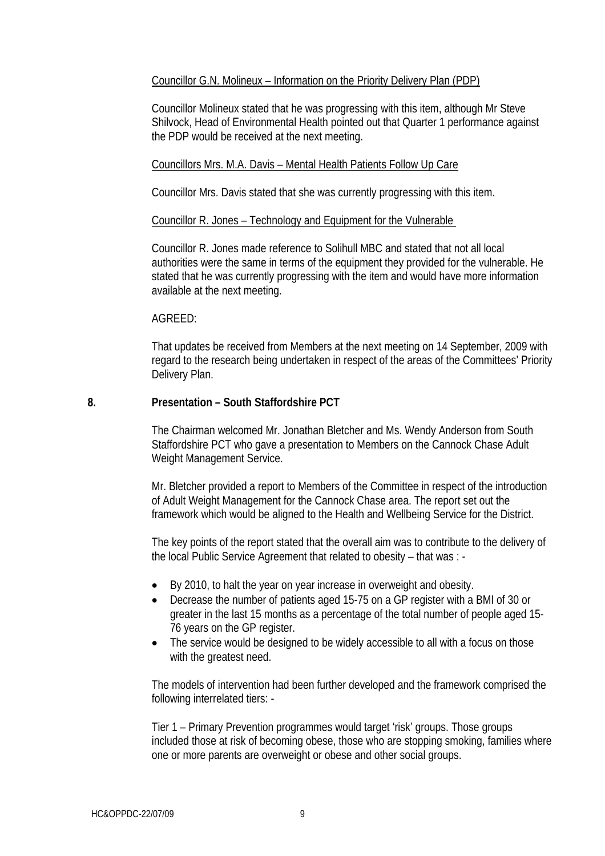## Councillor G.N. Molineux – Information on the Priority Delivery Plan (PDP)

Councillor Molineux stated that he was progressing with this item, although Mr Steve Shilvock, Head of Environmental Health pointed out that Quarter 1 performance against the PDP would be received at the next meeting.

## Councillors Mrs. M.A. Davis – Mental Health Patients Follow Up Care

Councillor Mrs. Davis stated that she was currently progressing with this item.

### Councillor R. Jones – Technology and Equipment for the Vulnerable

Councillor R. Jones made reference to Solihull MBC and stated that not all local authorities were the same in terms of the equipment they provided for the vulnerable. He stated that he was currently progressing with the item and would have more information available at the next meeting.

## AGREED:

That updates be received from Members at the next meeting on 14 September, 2009 with regard to the research being undertaken in respect of the areas of the Committees' Priority Delivery Plan.

## **8. Presentation – South Staffordshire PCT**

The Chairman welcomed Mr. Jonathan Bletcher and Ms. Wendy Anderson from South Staffordshire PCT who gave a presentation to Members on the Cannock Chase Adult Weight Management Service.

Mr. Bletcher provided a report to Members of the Committee in respect of the introduction of Adult Weight Management for the Cannock Chase area. The report set out the framework which would be aligned to the Health and Wellbeing Service for the District.

The key points of the report stated that the overall aim was to contribute to the delivery of the local Public Service Agreement that related to obesity – that was : -

- By 2010, to halt the year on year increase in overweight and obesity.
- Decrease the number of patients aged 15-75 on a GP register with a BMI of 30 or greater in the last 15 months as a percentage of the total number of people aged 15- 76 years on the GP register.
- The service would be designed to be widely accessible to all with a focus on those with the greatest need.

The models of intervention had been further developed and the framework comprised the following interrelated tiers: -

Tier 1 – Primary Prevention programmes would target 'risk' groups. Those groups included those at risk of becoming obese, those who are stopping smoking, families where one or more parents are overweight or obese and other social groups.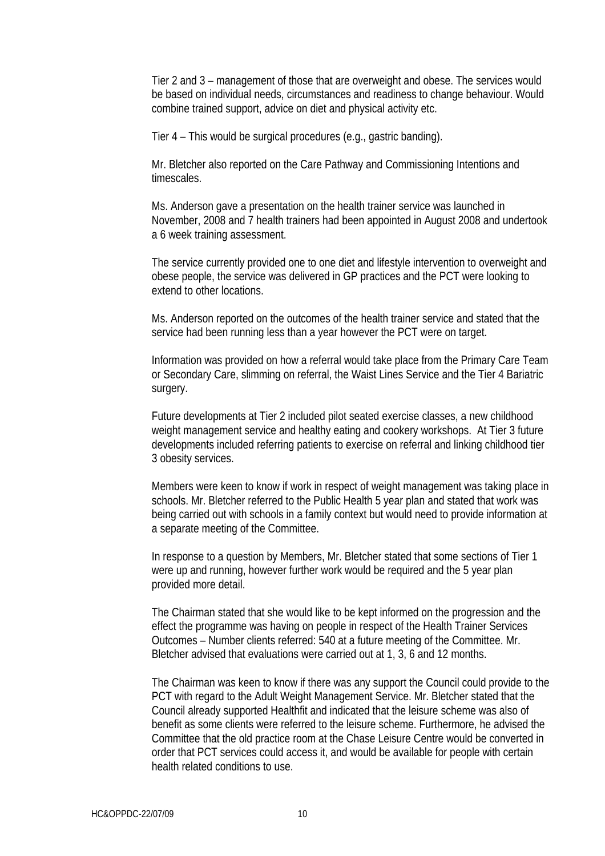Tier 2 and 3 – management of those that are overweight and obese. The services would be based on individual needs, circumstances and readiness to change behaviour. Would combine trained support, advice on diet and physical activity etc.

Tier 4 – This would be surgical procedures (e.g., gastric banding).

Mr. Bletcher also reported on the Care Pathway and Commissioning Intentions and timescales.

Ms. Anderson gave a presentation on the health trainer service was launched in November, 2008 and 7 health trainers had been appointed in August 2008 and undertook a 6 week training assessment.

The service currently provided one to one diet and lifestyle intervention to overweight and obese people, the service was delivered in GP practices and the PCT were looking to extend to other locations.

Ms. Anderson reported on the outcomes of the health trainer service and stated that the service had been running less than a year however the PCT were on target.

Information was provided on how a referral would take place from the Primary Care Team or Secondary Care, slimming on referral, the Waist Lines Service and the Tier 4 Bariatric surgery.

Future developments at Tier 2 included pilot seated exercise classes, a new childhood weight management service and healthy eating and cookery workshops. At Tier 3 future developments included referring patients to exercise on referral and linking childhood tier 3 obesity services.

Members were keen to know if work in respect of weight management was taking place in schools. Mr. Bletcher referred to the Public Health 5 year plan and stated that work was being carried out with schools in a family context but would need to provide information at a separate meeting of the Committee.

In response to a question by Members, Mr. Bletcher stated that some sections of Tier 1 were up and running, however further work would be required and the 5 year plan provided more detail.

The Chairman stated that she would like to be kept informed on the progression and the effect the programme was having on people in respect of the Health Trainer Services Outcomes – Number clients referred: 540 at a future meeting of the Committee. Mr. Bletcher advised that evaluations were carried out at 1, 3, 6 and 12 months.

The Chairman was keen to know if there was any support the Council could provide to the PCT with regard to the Adult Weight Management Service. Mr. Bletcher stated that the Council already supported Healthfit and indicated that the leisure scheme was also of benefit as some clients were referred to the leisure scheme. Furthermore, he advised the Committee that the old practice room at the Chase Leisure Centre would be converted in order that PCT services could access it, and would be available for people with certain health related conditions to use.